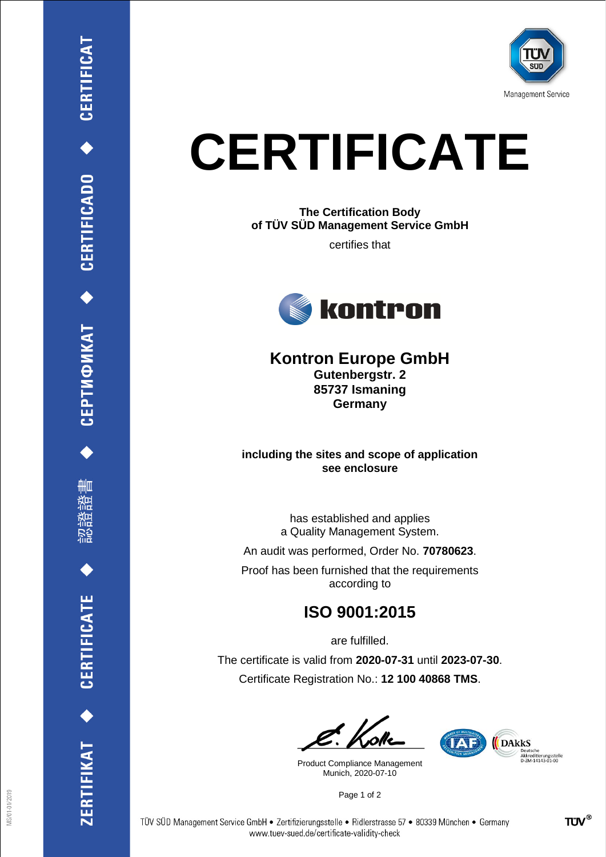

# **CERTIFICATE**

**The Certification Body of TÜV SÜD Management Service GmbH**

certifies that



## **Kontron Europe GmbH**

**Gutenbergstr. 2 85737 Ismaning Germany**

#### **including the sites and scope of application see enclosure**

has established and applies a Quality Management System.

An audit was performed, Order No. **70780623**.

Proof has been furnished that the requirements according to

## **ISO 9001:2015**

are fulfilled. The certificate is valid from **2020-07-31** until **2023-07-30**. Certificate Registration No.: **12 100 40868 TMS**.

Product Compliance Management Munich, 2020-07-10

**TAE** DAKKS Deutsche<br>Akkreditierungsstelle<br>D-ZM-14143-01-00

Page 1 of 2